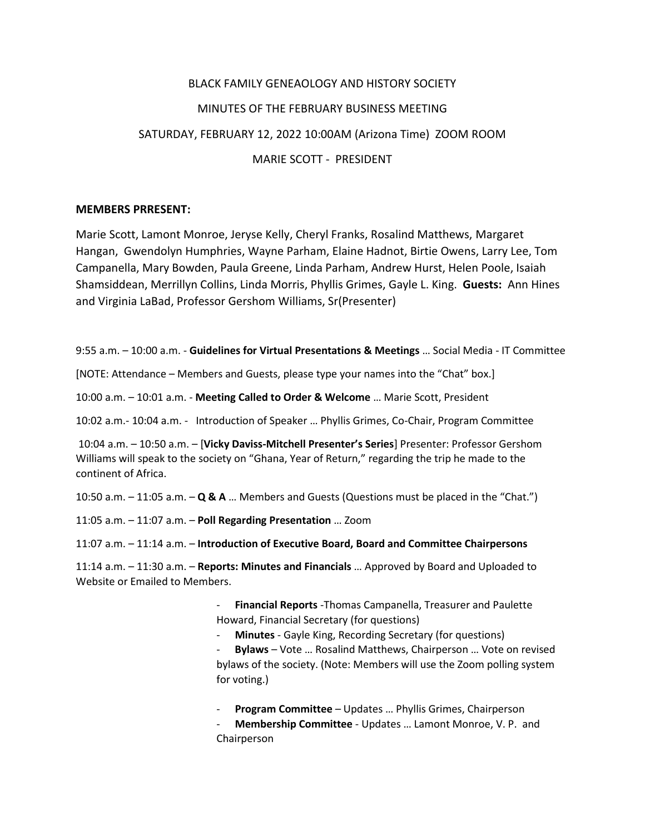## BLACK FAMILY GENEAOLOGY AND HISTORY SOCIETY MINUTES OF THE FEBRUARY BUSINESS MEETING SATURDAY, FEBRUARY 12, 2022 10:00AM (Arizona Time) ZOOM ROOM MARIE SCOTT - PRESIDENT

## **MEMBERS PRRESENT:**

Marie Scott, Lamont Monroe, Jeryse Kelly, Cheryl Franks, Rosalind Matthews, Margaret Hangan, Gwendolyn Humphries, Wayne Parham, Elaine Hadnot, Birtie Owens, Larry Lee, Tom Campanella, Mary Bowden, Paula Greene, Linda Parham, Andrew Hurst, Helen Poole, Isaiah Shamsiddean, Merrillyn Collins, Linda Morris, Phyllis Grimes, Gayle L. King. **Guests:** Ann Hines and Virginia LaBad, Professor Gershom Williams, Sr(Presenter)

9:55 a.m. – 10:00 a.m. - **Guidelines for Virtual Presentations & Meetings** … Social Media - IT Committee

[NOTE: Attendance – Members and Guests, please type your names into the "Chat" box.]

10:00 a.m. – 10:01 a.m. - **Meeting Called to Order & Welcome** … Marie Scott, President

10:02 a.m.- 10:04 a.m. - Introduction of Speaker … Phyllis Grimes, Co-Chair, Program Committee

 10:04 a.m. – 10:50 a.m. – [**Vicky Daviss-Mitchell Presenter's Series**] Presenter: Professor Gershom Williams will speak to the society on "Ghana, Year of Return," regarding the trip he made to the continent of Africa.

10:50 a.m. – 11:05 a.m. – **Q & A** … Members and Guests (Questions must be placed in the "Chat.")

11:05 a.m. – 11:07 a.m. – **Poll Regarding Presentation** … Zoom

11:07 a.m. – 11:14 a.m. – **Introduction of Executive Board, Board and Committee Chairpersons**

11:14 a.m. – 11:30 a.m. – **Reports: Minutes and Financials** … Approved by Board and Uploaded to Website or Emailed to Members.

> - **Financial Reports** -Thomas Campanella, Treasurer and Paulette Howard, Financial Secretary (for questions)

**Minutes** - Gayle King, Recording Secretary (for questions)

Bylaws - Vote ... Rosalind Matthews, Chairperson ... Vote on revised bylaws of the society. (Note: Members will use the Zoom polling system for voting.)

**Program Committee** – Updates ... Phyllis Grimes, Chairperson

Membership Committee - Updates ... Lamont Monroe, V. P. and Chairperson